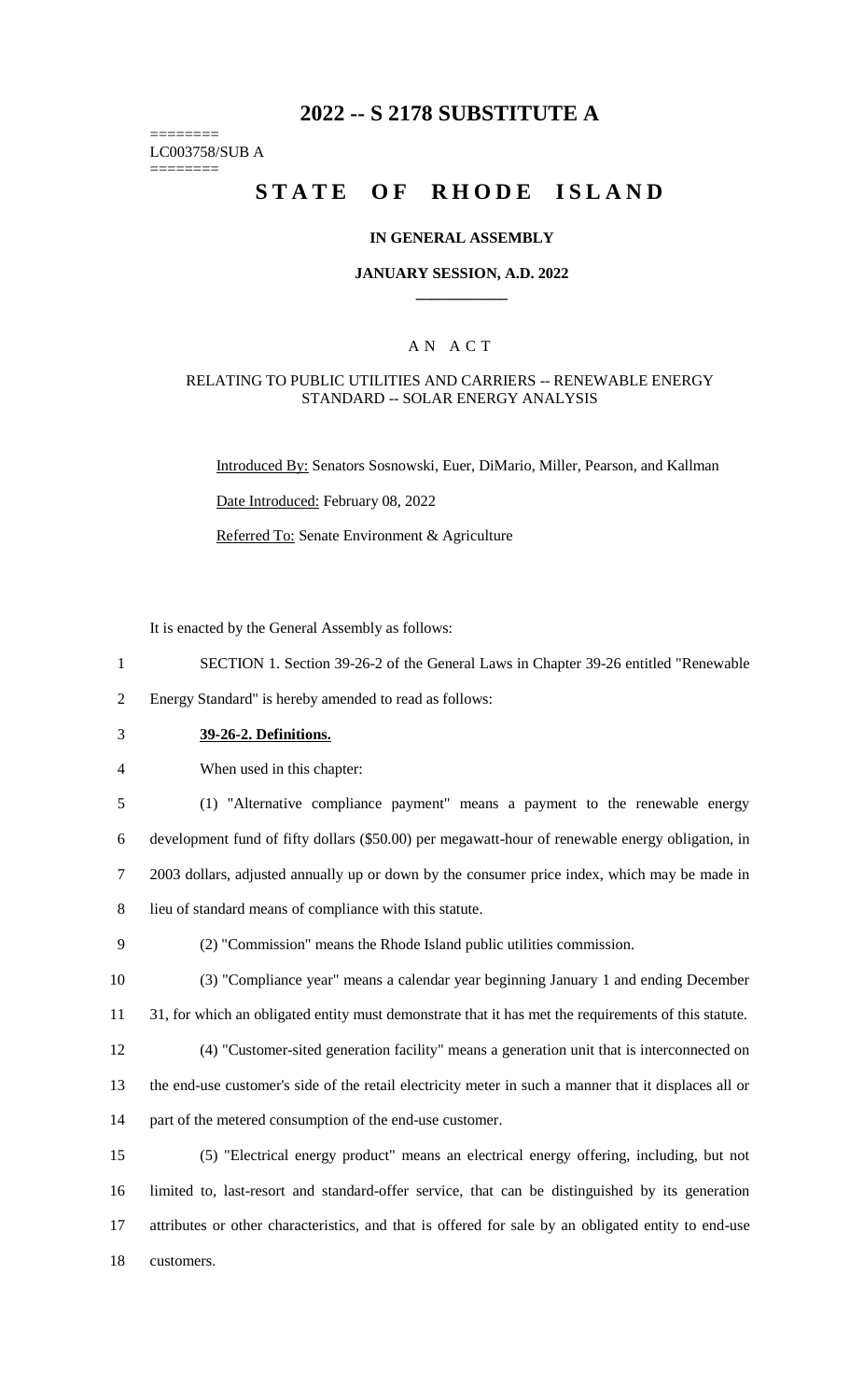# **2022 -- S 2178 SUBSTITUTE A**

======== LC003758/SUB A

========

# **STATE OF RHODE ISLAND**

#### **IN GENERAL ASSEMBLY**

#### **JANUARY SESSION, A.D. 2022 \_\_\_\_\_\_\_\_\_\_\_\_**

### A N A C T

#### RELATING TO PUBLIC UTILITIES AND CARRIERS -- RENEWABLE ENERGY STANDARD -- SOLAR ENERGY ANALYSIS

Introduced By: Senators Sosnowski, Euer, DiMario, Miller, Pearson, and Kallman

Date Introduced: February 08, 2022

Referred To: Senate Environment & Agriculture

It is enacted by the General Assembly as follows:

1 SECTION 1. Section 39-26-2 of the General Laws in Chapter 39-26 entitled "Renewable

2 Energy Standard" is hereby amended to read as follows:

- 3 **39-26-2. Definitions.**
- 4 When used in this chapter:

 (1) "Alternative compliance payment" means a payment to the renewable energy development fund of fifty dollars (\$50.00) per megawatt-hour of renewable energy obligation, in 2003 dollars, adjusted annually up or down by the consumer price index, which may be made in lieu of standard means of compliance with this statute.

9 (2) "Commission" means the Rhode Island public utilities commission.

10 (3) "Compliance year" means a calendar year beginning January 1 and ending December 11 31, for which an obligated entity must demonstrate that it has met the requirements of this statute.

12 (4) "Customer-sited generation facility" means a generation unit that is interconnected on 13 the end-use customer's side of the retail electricity meter in such a manner that it displaces all or 14 part of the metered consumption of the end-use customer.

 (5) "Electrical energy product" means an electrical energy offering, including, but not limited to, last-resort and standard-offer service, that can be distinguished by its generation attributes or other characteristics, and that is offered for sale by an obligated entity to end-use customers.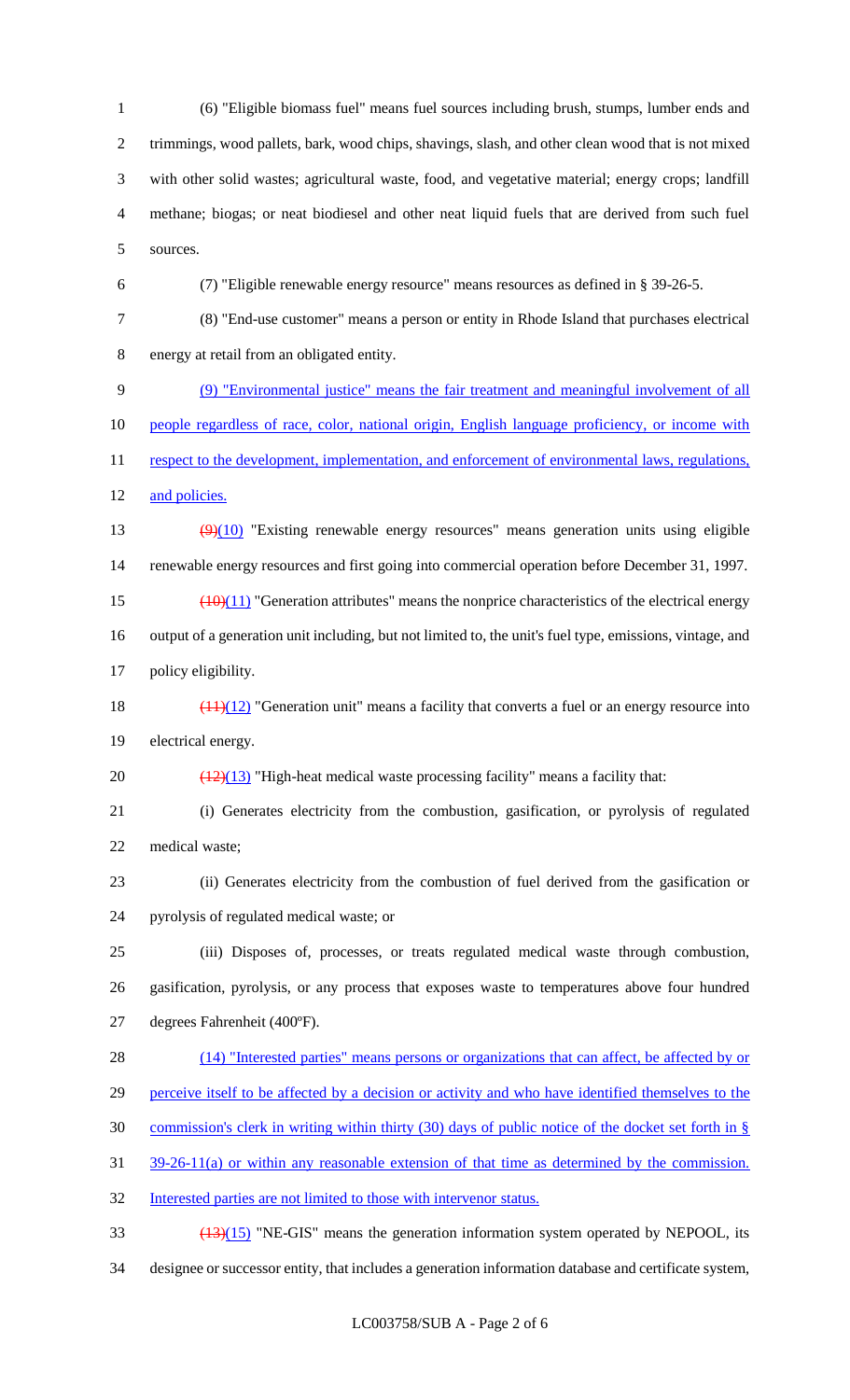(6) "Eligible biomass fuel" means fuel sources including brush, stumps, lumber ends and trimmings, wood pallets, bark, wood chips, shavings, slash, and other clean wood that is not mixed with other solid wastes; agricultural waste, food, and vegetative material; energy crops; landfill methane; biogas; or neat biodiesel and other neat liquid fuels that are derived from such fuel sources.

(7) "Eligible renewable energy resource" means resources as defined in § 39-26-5.

 (8) "End-use customer" means a person or entity in Rhode Island that purchases electrical energy at retail from an obligated entity.

(9) "Environmental justice" means the fair treatment and meaningful involvement of all

10 people regardless of race, color, national origin, English language proficiency, or income with

11 respect to the development, implementation, and enforcement of environmental laws, regulations, 12 and policies.

13 (9)(10) "Existing renewable energy resources" means generation units using eligible renewable energy resources and first going into commercial operation before December 31, 1997.

15  $\left(\frac{(10)(11)}{2}\right)$  "Generation attributes" means the nonprice characteristics of the electrical energy output of a generation unit including, but not limited to, the unit's fuel type, emissions, vintage, and

policy eligibility.

18  $\left(\frac{(11)(12)}{2}\right)$  "Generation unit" means a facility that converts a fuel or an energy resource into electrical energy.

20  $\left(\frac{(12)(13)}{(12)(13)}\right)$  "High-heat medical waste processing facility" means a facility that:

 (i) Generates electricity from the combustion, gasification, or pyrolysis of regulated medical waste;

 (ii) Generates electricity from the combustion of fuel derived from the gasification or pyrolysis of regulated medical waste; or

 (iii) Disposes of, processes, or treats regulated medical waste through combustion, gasification, pyrolysis, or any process that exposes waste to temperatures above four hundred degrees Fahrenheit (400ºF).

28 (14) "Interested parties" means persons or organizations that can affect, be affected by or perceive itself to be affected by a decision or activity and who have identified themselves to the

commission's clerk in writing within thirty (30) days of public notice of the docket set forth in §

39-26-11(a) or within any reasonable extension of that time as determined by the commission.

Interested parties are not limited to those with intervenor status.

(13)(15) "NE-GIS" means the generation information system operated by NEPOOL, its

designee or successor entity, that includes a generation information database and certificate system,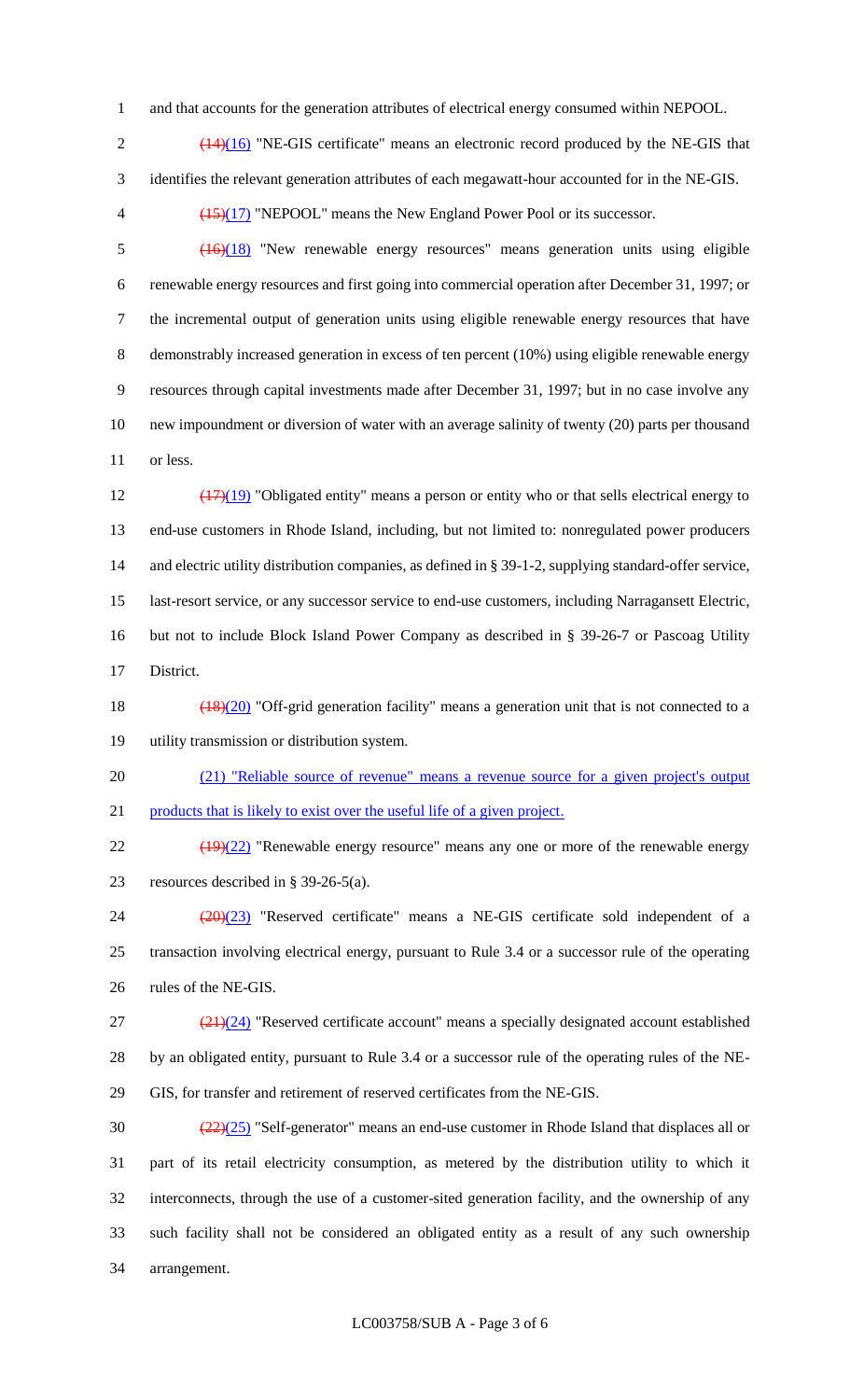and that accounts for the generation attributes of electrical energy consumed within NEPOOL.

 $2 \left( \frac{(14)(16)}{2} \right)$  "NE-GIS certificate" means an electronic record produced by the NE-GIS that identifies the relevant generation attributes of each megawatt-hour accounted for in the NE-GIS.

(15)(17) "NEPOOL" means the New England Power Pool or its successor.

 (16)(18) "New renewable energy resources" means generation units using eligible renewable energy resources and first going into commercial operation after December 31, 1997; or the incremental output of generation units using eligible renewable energy resources that have demonstrably increased generation in excess of ten percent (10%) using eligible renewable energy resources through capital investments made after December 31, 1997; but in no case involve any new impoundment or diversion of water with an average salinity of twenty (20) parts per thousand or less.

 (17)(19) "Obligated entity" means a person or entity who or that sells electrical energy to end-use customers in Rhode Island, including, but not limited to: nonregulated power producers 14 and electric utility distribution companies, as defined in § 39-1-2, supplying standard-offer service, last-resort service, or any successor service to end-use customers, including Narragansett Electric, but not to include Block Island Power Company as described in § 39-26-7 or Pascoag Utility District.

18 (18)(20) "Off-grid generation facility" means a generation unit that is not connected to a utility transmission or distribution system.

 (21) "Reliable source of revenue" means a revenue source for a given project's output products that is likely to exist over the useful life of a given project.

22 (19)(22) "Renewable energy resource" means any one or more of the renewable energy resources described in § 39-26-5(a).

 (20)(23) "Reserved certificate" means a NE-GIS certificate sold independent of a transaction involving electrical energy, pursuant to Rule 3.4 or a successor rule of the operating rules of the NE-GIS.

 $(21)(24)$  "Reserved certificate account" means a specially designated account established by an obligated entity, pursuant to Rule 3.4 or a successor rule of the operating rules of the NE-GIS, for transfer and retirement of reserved certificates from the NE-GIS.

 $\frac{(22)(25)}{2}$  "Self-generator" means an end-use customer in Rhode Island that displaces all or part of its retail electricity consumption, as metered by the distribution utility to which it interconnects, through the use of a customer-sited generation facility, and the ownership of any such facility shall not be considered an obligated entity as a result of any such ownership arrangement.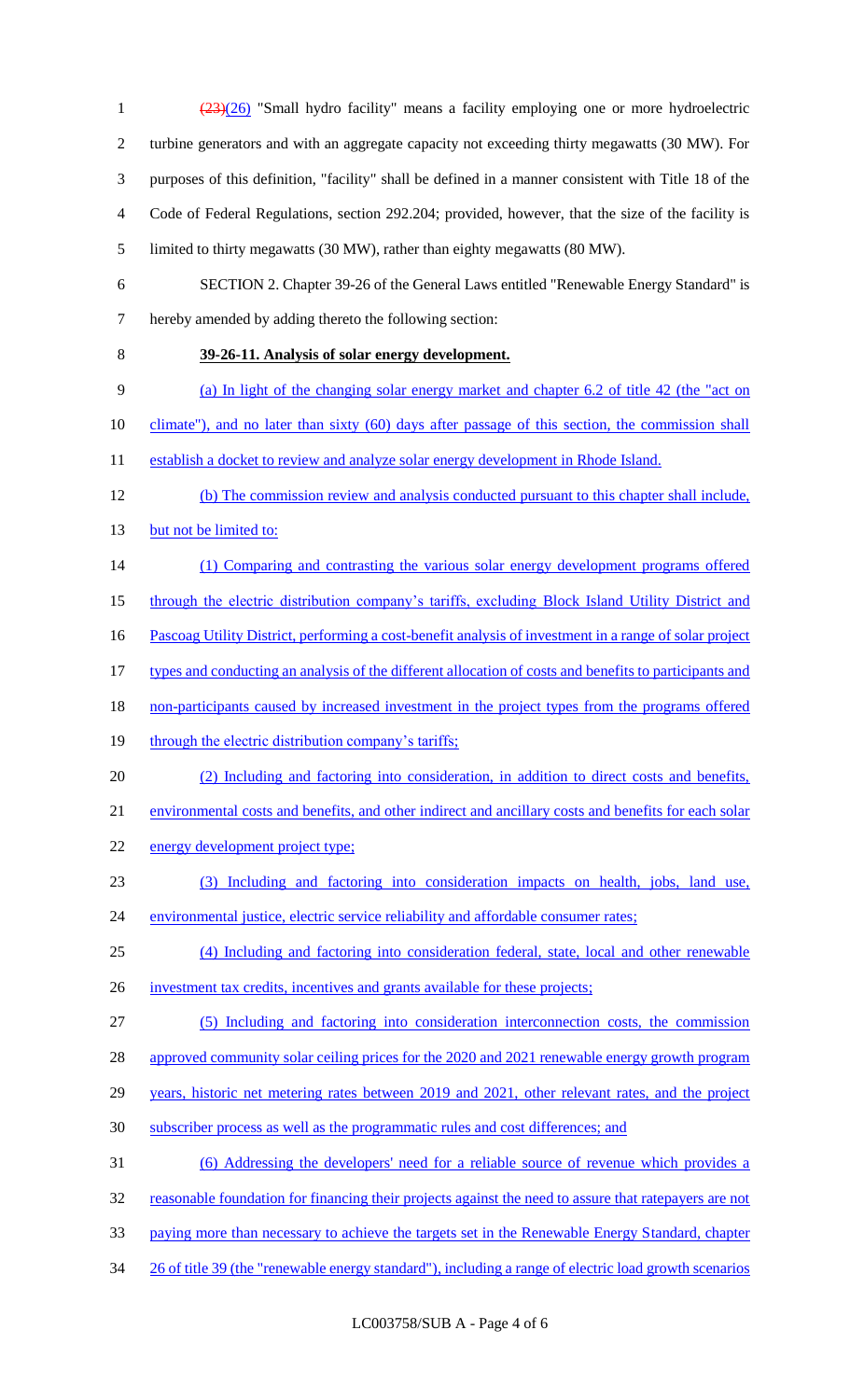(23)(26) "Small hydro facility" means a facility employing one or more hydroelectric turbine generators and with an aggregate capacity not exceeding thirty megawatts (30 MW). For purposes of this definition, "facility" shall be defined in a manner consistent with Title 18 of the Code of Federal Regulations, section 292.204; provided, however, that the size of the facility is limited to thirty megawatts (30 MW), rather than eighty megawatts (80 MW). SECTION 2. Chapter 39-26 of the General Laws entitled "Renewable Energy Standard" is hereby amended by adding thereto the following section: **39-26-11. Analysis of solar energy development.**  9 (a) In light of the changing solar energy market and chapter 6.2 of title 42 (the "act on 10 climate"), and no later than sixty (60) days after passage of this section, the commission shall 11 establish a docket to review and analyze solar energy development in Rhode Island. (b) The commission review and analysis conducted pursuant to this chapter shall include, 13 but not be limited to: (1) Comparing and contrasting the various solar energy development programs offered 15 through the electric distribution company's tariffs, excluding Block Island Utility District and Pascoag Utility District, performing a cost-benefit analysis of investment in a range of solar project types and conducting an analysis of the different allocation of costs and benefits to participants and 18 non-participants caused by increased investment in the project types from the programs offered 19 through the electric distribution company's tariffs; (2) Including and factoring into consideration, in addition to direct costs and benefits, environmental costs and benefits, and other indirect and ancillary costs and benefits for each solar energy development project type; (3) Including and factoring into consideration impacts on health, jobs, land use, environmental justice, electric service reliability and affordable consumer rates; (4) Including and factoring into consideration federal, state, local and other renewable 26 investment tax credits, incentives and grants available for these projects; (5) Including and factoring into consideration interconnection costs, the commission 28 approved community solar ceiling prices for the 2020 and 2021 renewable energy growth program 29 years, historic net metering rates between 2019 and 2021, other relevant rates, and the project subscriber process as well as the programmatic rules and cost differences; and (6) Addressing the developers' need for a reliable source of revenue which provides a reasonable foundation for financing their projects against the need to assure that ratepayers are not paying more than necessary to achieve the targets set in the Renewable Energy Standard, chapter 26 of title 39 (the "renewable energy standard"), including a range of electric load growth scenarios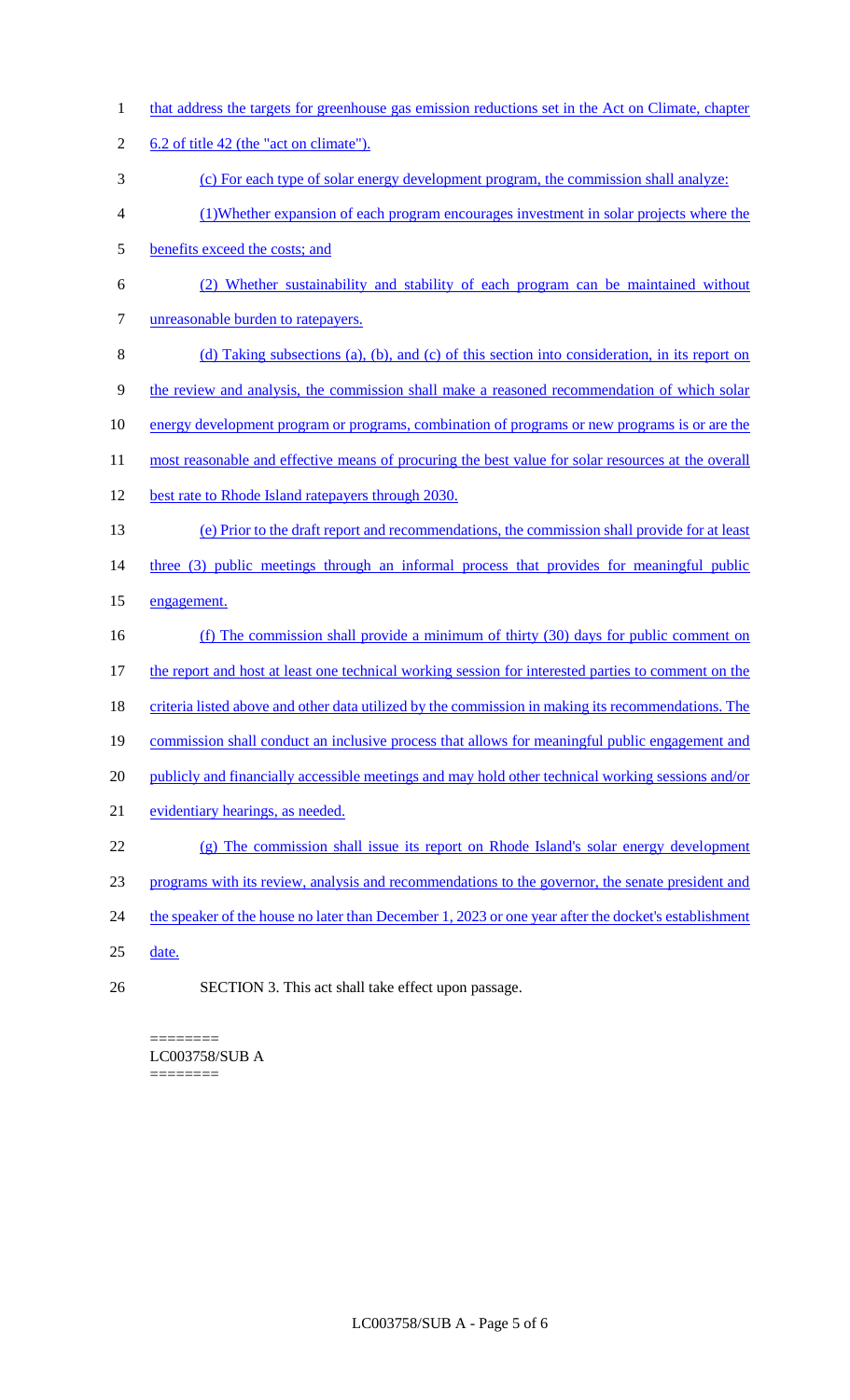- 1 that address the targets for greenhouse gas emission reductions set in the Act on Climate, chapter 2 6.2 of title 42 (the "act on climate"). 3 (c) For each type of solar energy development program, the commission shall analyze: 4 (1)Whether expansion of each program encourages investment in solar projects where the 5 benefits exceed the costs; and 6 (2) Whether sustainability and stability of each program can be maintained without 7 unreasonable burden to ratepayers. 8 (d) Taking subsections (a), (b), and (c) of this section into consideration, in its report on 9 the review and analysis, the commission shall make a reasoned recommendation of which solar 10 energy development program or programs, combination of programs or new programs is or are the 11 most reasonable and effective means of procuring the best value for solar resources at the overall 12 best rate to Rhode Island ratepayers through 2030. 13 (e) Prior to the draft report and recommendations, the commission shall provide for at least 14 three (3) public meetings through an informal process that provides for meaningful public 15 engagement. 16 (f) The commission shall provide a minimum of thirty (30) days for public comment on 17 the report and host at least one technical working session for interested parties to comment on the 18 criteria listed above and other data utilized by the commission in making its recommendations. The 19 commission shall conduct an inclusive process that allows for meaningful public engagement and 20 publicly and financially accessible meetings and may hold other technical working sessions and/or 21 evidentiary hearings, as needed. 22 (g) The commission shall issue its report on Rhode Island's solar energy development 23 programs with its review, analysis and recommendations to the governor, the senate president and 24 the speaker of the house no later than December 1, 2023 or one year after the docket's establishment 25 date.
- 26 SECTION 3. This act shall take effect upon passage.

#### ======== LC003758/SUB A ========